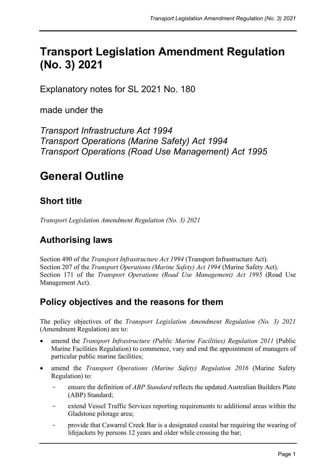# **Transport Legislation Amendment Regulation (No. 3) 2021**

Explanatory notes for SL 2021 No. 180

made under the

*Transport Infrastructure Act 1994 Transport Operations (Marine Safety) Act 1994 Transport Operations (Road Use Management) Act 1995*

# **General Outline**

# **Short title**

*Transport Legislation Amendment Regulation (No. 3) 2021*

# **Authorising laws**

Section 490 of the *Transport Infrastructure Act 1994* (Transport Infrastructure Act). Section 207 of the *Transport Operations (Marine Safety) Act 1994* (Marine Safety Act). Section 171 of the *Transport Operations (Road Use Management) Act 1995* (Road Use Management Act).

### **Policy objectives and the reasons for them**

The policy objectives of the *Transport Legislation Amendment Regulation (No. 3) 2021* (Amendment Regulation) are to:

- amend the *Transport Infrastructure (Public Marine Facilities) Regulation 2011* (Public Marine Facilities Regulation) to commence, vary and end the appointment of managers of particular public marine facilities;
- amend the *Transport Operations (Marine Safety) Regulation 2016* (Marine Safety Regulation) to:
	- ensure the definition of *ABP Standard* reflects the updated Australian Builders Plate (ABP) Standard;
	- extend Vessel Traffic Services reporting requirements to additional areas within the Gladstone pilotage area;
	- provide that Cawarral Creek Bar is a designated coastal bar requiring the wearing of lifejackets by persons 12 years and older while crossing the bar;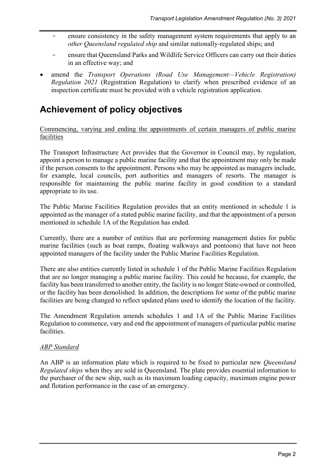- ensure consistency in the safety management system requirements that apply to an *other Queensland regulated ship* and similar nationally-regulated ships; and
- ensure that Queensland Parks and Wildlife Service Officers can carry out their duties in an effective way; and
- amend the *Transport Operations (Road Use Management—Vehicle Registration) Regulation 2021* (Registration Regulation) to clarify when prescribed evidence of an inspection certificate must be provided with a vehicle registration application.

# **Achievement of policy objectives**

Commencing, varying and ending the appointments of certain managers of public marine facilities

The Transport Infrastructure Act provides that the Governor in Council may, by regulation, appoint a person to manage a public marine facility and that the appointment may only be made if the person consents to the appointment. Persons who may be appointed as managers include, for example, local councils, port authorities and managers of resorts. The manager is responsible for maintaining the public marine facility in good condition to a standard appropriate to its use.

The Public Marine Facilities Regulation provides that an entity mentioned in schedule 1 is appointed as the manager of a stated public marine facility, and that the appointment of a person mentioned in schedule 1A of the Regulation has ended.

Currently, there are a number of entities that are performing management duties for public marine facilities (such as boat ramps, floating walkways and pontoons) that have not been appointed managers of the facility under the Public Marine Facilities Regulation.

There are also entities currently listed in schedule 1 of the Public Marine Facilities Regulation that are no longer managing a public marine facility. This could be because, for example, the facility has been transferred to another entity, the facility is no longer State-owned or controlled, or the facility has been demolished. In addition, the descriptions for some of the public marine facilities are being changed to reflect updated plans used to identify the location of the facility.

The Amendment Regulation amends schedules 1 and 1A of the Public Marine Facilities Regulation to commence, vary and end the appointment of managers of particular public marine facilities.

#### *ABP Standard*

An ABP is an information plate which is required to be fixed to particular new *Queensland Regulated ships* when they are sold in Queensland. The plate provides essential information to the purchaser of the new ship, such as its maximum loading capacity, maximum engine power and flotation performance in the case of an emergency.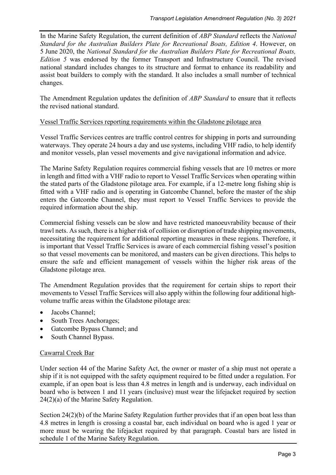In the Marine Safety Regulation, the current definition of *ABP Standard* reflects the *National Standard for the Australian Builders Plate for Recreational Boats, Edition 4*. However, on 5 June 2020, the *National Standard for the Australian Builders Plate for Recreational Boats, Edition 5* was endorsed by the former Transport and Infrastructure Council. The revised national standard includes changes to its structure and format to enhance its readability and assist boat builders to comply with the standard. It also includes a small number of technical changes.

The Amendment Regulation updates the definition of *ABP Standard* to ensure that it reflects the revised national standard.

#### Vessel Traffic Services reporting requirements within the Gladstone pilotage area

Vessel Traffic Services centres are traffic control centres for shipping in ports and surrounding waterways. They operate 24 hours a day and use systems, including VHF radio, to help identify and monitor vessels, plan vessel movements and give navigational information and advice.

The Marine Safety Regulation requires commercial fishing vessels that are 10 metres or more in length and fitted with a VHF radio to report to Vessel Traffic Services when operating within the stated parts of the Gladstone pilotage area. For example, if a 12-metre long fishing ship is fitted with a VHF radio and is operating in Gatcombe Channel, before the master of the ship enters the Gatcombe Channel, they must report to Vessel Traffic Services to provide the required information about the ship.

Commercial fishing vessels can be slow and have restricted manoeuvrability because of their trawl nets. As such, there is a higher risk of collision or disruption of trade shipping movements, necessitating the requirement for additional reporting measures in these regions. Therefore, it is important that Vessel Traffic Services is aware of each commercial fishing vessel's position so that vessel movements can be monitored, and masters can be given directions. This helps to ensure the safe and efficient management of vessels within the higher risk areas of the Gladstone pilotage area.

The Amendment Regulation provides that the requirement for certain ships to report their movements to Vessel Traffic Services will also apply within the following four additional highvolume traffic areas within the Gladstone pilotage area:

- Jacobs Channel;
- South Trees Anchorages:
- Gatcombe Bypass Channel; and
- South Channel Bypass.

#### Cawarral Creek Bar

Under section 44 of the Marine Safety Act, the owner or master of a ship must not operate a ship if it is not equipped with the safety equipment required to be fitted under a regulation. For example, if an open boat is less than 4.8 metres in length and is underway, each individual on board who is between 1 and 11 years (inclusive) must wear the lifejacket required by section 24(2)(a) of the Marine Safety Regulation.

Section 24(2)(b) of the Marine Safety Regulation further provides that if an open boat less than 4.8 metres in length is crossing a coastal bar, each individual on board who is aged 1 year or more must be wearing the lifejacket required by that paragraph. Coastal bars are listed in schedule 1 of the Marine Safety Regulation.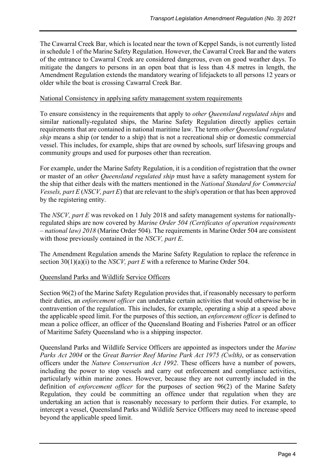The Cawarral Creek Bar, which is located near the town of Keppel Sands, is not currently listed in schedule 1 of the Marine Safety Regulation. However, the Cawarral Creek Bar and the waters of the entrance to Cawarral Creek are considered dangerous, even on good weather days. To mitigate the dangers to persons in an open boat that is less than 4.8 metres in length, the Amendment Regulation extends the mandatory wearing of lifejackets to all persons 12 years or older while the boat is crossing Cawarral Creek Bar.

#### National Consistency in applying safety management system requirements

To ensure consistency in the requirements that apply to *other Queensland regulated ships* and similar nationally-regulated ships, the Marine Safety Regulation directly applies certain requirements that are contained in national maritime law. The term *other Queensland regulated ship* means a ship (or tender to a ship) that is not a recreational ship or domestic commercial vessel. This includes, for example, ships that are owned by schools, surf lifesaving groups and community groups and used for purposes other than recreation.

For example, under the Marine Safety Regulation, it is a condition of registration that the owner or master of an *other Queensland regulated ship* must have a safety management system for the ship that either deals with the matters mentioned in the *National Standard for Commercial Vessels, part E* (*NSCV, part E*) that are relevant to the ship's operation or that has been approved by the registering entity.

The *NSCV, part E* was revoked on 1 July 2018 and safety management systems for nationallyregulated ships are now covered by *Marine Order 504 (Certificates of operation requirements – national law) 2018* (Marine Order 504). The requirements in Marine Order 504 are consistent with those previously contained in the *NSCV, part E*.

The Amendment Regulation amends the Marine Safety Regulation to replace the reference in section 30(1)(a)(i) to the *NSCV, part E* with a reference to Marine Order 504.

#### Queensland Parks and Wildlife Service Officers

Section 96(2) of the Marine Safety Regulation provides that, if reasonably necessary to perform their duties, an *enforcement officer* can undertake certain activities that would otherwise be in contravention of the regulation. This includes, for example, operating a ship at a speed above the applicable speed limit. For the purposes of this section, an *enforcement officer* is defined to mean a police officer, an officer of the Queensland Boating and Fisheries Patrol or an officer of Maritime Safety Queensland who is a shipping inspector.

Queensland Parks and Wildlife Service Officers are appointed as inspectors under the *Marine Parks Act 2004* or the *Great Barrier Reef Marine Park Act 1975 (Cwlth)*, or as conservation officers under the *Nature Conservation Act 1992*. These officers have a number of powers, including the power to stop vessels and carry out enforcement and compliance activities, particularly within marine zones. However, because they are not currently included in the definition of *enforcement officer* for the purposes of section 96(2) of the Marine Safety Regulation, they could be committing an offence under that regulation when they are undertaking an action that is reasonably necessary to perform their duties. For example, to intercept a vessel, Queensland Parks and Wildlife Service Officers may need to increase speed beyond the applicable speed limit.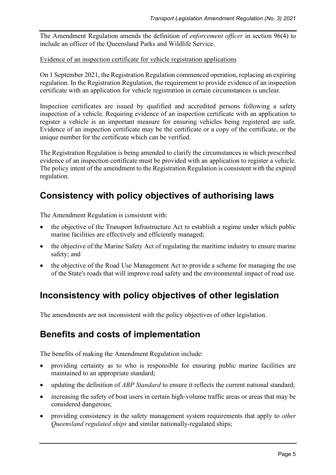The Amendment Regulation amends the definition of *enforcement officer* in section 96(4) to include an officer of the Queensland Parks and Wildlife Service.

#### Evidence of an inspection certificate for vehicle registration applications

On 1 September 2021, the Registration Regulation commenced operation, replacing an expiring regulation. In the Registration Regulation, the requirement to provide evidence of an inspection certificate with an application for vehicle registration in certain circumstances is unclear.

Inspection certificates are issued by qualified and accredited persons following a safety inspection of a vehicle. Requiring evidence of an inspection certificate with an application to register a vehicle is an important measure for ensuring vehicles being registered are safe. Evidence of an inspection certificate may be the certificate or a copy of the certificate, or the unique number for the certificate which can be verified.

The Registration Regulation is being amended to clarify the circumstances in which prescribed evidence of an inspection certificate must be provided with an application to register a vehicle. The policy intent of the amendment to the Registration Regulation is consistent with the expired regulation.

## **Consistency with policy objectives of authorising laws**

The Amendment Regulation is consistent with:

- the objective of the Transport Infrastructure Act to establish a regime under which public marine facilities are effectively and efficiently managed;
- the objective of the Marine Safety Act of regulating the maritime industry to ensure marine safety; and
- the objective of the Road Use Management Act to provide a scheme for managing the use of the State's roads that will improve road safety and the environmental impact of road use.

### **Inconsistency with policy objectives of other legislation**

The amendments are not inconsistent with the policy objectives of other legislation.

### **Benefits and costs of implementation**

The benefits of making the Amendment Regulation include:

- providing certainty as to who is responsible for ensuring public marine facilities are maintained to an appropriate standard;
- updating the definition of *ABP Standard* to ensure it reflects the current national standard;
- increasing the safety of boat users in certain high-volume traffic areas or areas that may be considered dangerous;
- providing consistency in the safety management system requirements that apply to *other Queensland regulated ships* and similar nationally-regulated ships;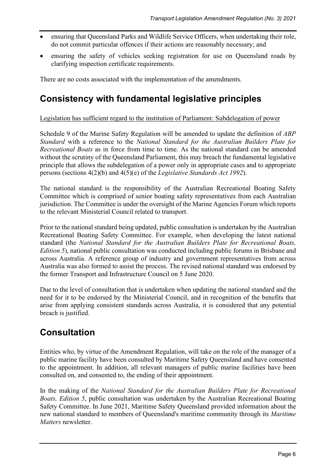- ensuring that Queensland Parks and Wildlife Service Officers, when undertaking their role, do not commit particular offences if their actions are reasonably necessary; and
- ensuring the safety of vehicles seeking registration for use on Queensland roads by clarifying inspection certificate requirements.

There are no costs associated with the implementation of the amendments.

## **Consistency with fundamental legislative principles**

#### Legislation has sufficient regard to the institution of Parliament: Subdelegation of power

Schedule 9 of the Marine Safety Regulation will be amended to update the definition of *ABP Standard* with a reference to the *National Standard for the Australian Builders Plate for Recreational Boats* as in force from time to time*.* As the national standard can be amended without the scrutiny of the Queensland Parliament, this may breach the fundamental legislative principle that allows the subdelegation of a power only in appropriate cases and to appropriate persons (sections 4(2)(b) and 4(5)(e) of the *Legislative Standards Act 1992*).

The national standard is the responsibility of the Australian Recreational Boating Safety Committee which is comprised of senior boating safety representatives from each Australian jurisdiction. The Committee is under the oversight of the Marine Agencies Forum which reports to the relevant Ministerial Council related to transport.

Prior to the national standard being updated, public consultation is undertaken by the Australian Recreational Boating Safety Committee. For example, when developing the latest national standard (the *National Standard for the Australian Builders Plate for Recreational Boats, Edition 5*), national public consultation was conducted including public forums in Brisbane and across Australia. A reference group of industry and government representatives from across Australia was also formed to assist the process. The revised national standard was endorsed by the former Transport and Infrastructure Council on 5 June 2020.

Due to the level of consultation that is undertaken when updating the national standard and the need for it to be endorsed by the Ministerial Council, and in recognition of the benefits that arise from applying consistent standards across Australia, it is considered that any potential breach is justified.

### **Consultation**

Entities who, by virtue of the Amendment Regulation, will take on the role of the manager of a public marine facility have been consulted by Maritime Safety Queensland and have consented to the appointment. In addition, all relevant managers of public marine facilities have been consulted on, and consented to, the ending of their appointment.

In the making of the *National Standard for the Australian Builders Plate for Recreational Boats, Edition 5*, public consultation was undertaken by the Australian Recreational Boating Safety Committee. In June 2021, Maritime Safety Queensland provided information about the new national standard to members of Queensland's maritime community through its *Maritime Matters* newsletter.